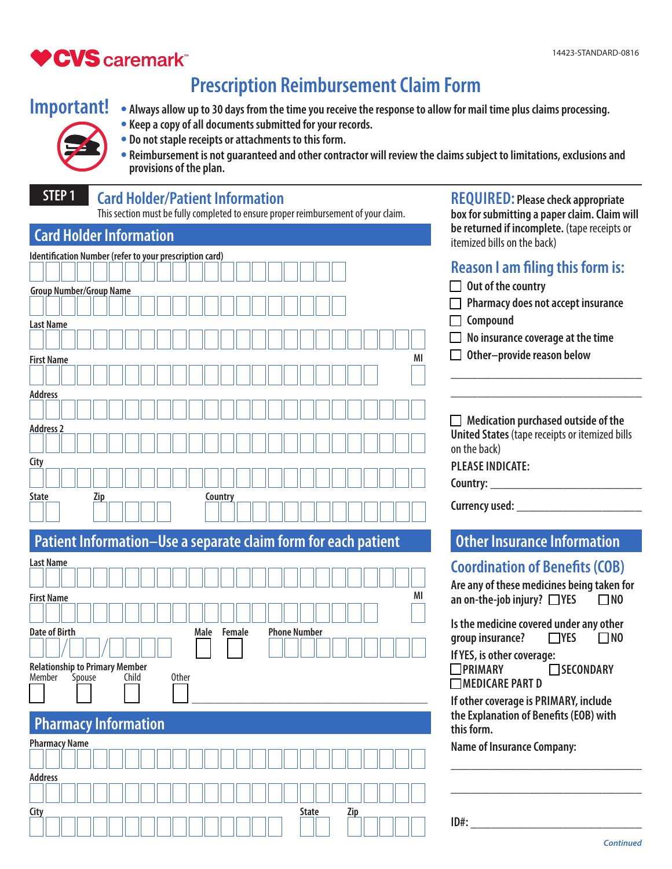**REQUIRED: Please check appropriate** 

# **♥CVS** caremark

# **Prescription Reimbursement Claim Form**

# **Important!**

- • **Always allow up to 30 days from the time you receive the response to allow for mail time plus claims processing.** • **Keep a copy of all documents submitted for your records.**
- • **Do not staple receipts or attachments to this form.**



• **Reimbursement is not guaranteed and other contractor will review the claims subject to limitations, exclusions and provisions of the plan.**

## **STEP 1 Card Holder/Patient Information**

This section must be fully completed to ensure proper reimbursement of your claim.

| This section must be fully completed to ensure proper reimbursement of your claim. | box for submitting a paper claim. Claim will                                |
|------------------------------------------------------------------------------------|-----------------------------------------------------------------------------|
| <b>Card Holder Information</b>                                                     | be returned if incomplete. (tape receipts or<br>itemized bills on the back) |
| Identification Number (refer to your prescription card)                            |                                                                             |
|                                                                                    | <b>Reason I am filing this form is:</b>                                     |
| <b>Group Number/Group Name</b>                                                     | Out of the country                                                          |
|                                                                                    | Pharmacy does not accept insurance                                          |
| <b>Last Name</b>                                                                   | Compound                                                                    |
|                                                                                    | No insurance coverage at the time                                           |
| MI<br><b>First Name</b>                                                            | Other-provide reason below                                                  |
|                                                                                    |                                                                             |
| <b>Address</b>                                                                     |                                                                             |
|                                                                                    |                                                                             |
| <b>Address 2</b>                                                                   | $\Box$ Medication purchased outside of the                                  |
|                                                                                    | <b>United States (tape receipts or itemized bills</b><br>on the back)       |
| City                                                                               | <b>PLEASE INDICATE:</b>                                                     |
|                                                                                    | Country:                                                                    |
| <b>State</b><br>Country<br><u>Zip</u>                                              |                                                                             |
|                                                                                    | Currency used: ____________                                                 |
|                                                                                    |                                                                             |
| Patient Information-Use a separate claim form for each patient                     | <b>Other Insurance Information</b>                                          |
| <b>Last Name</b>                                                                   | <b>Coordination of Benefits (COB)</b>                                       |
|                                                                                    | Are any of these medicines being taken for                                  |
| ΜI<br><b>First Name</b>                                                            | an on-the-job injury? $\Box$ YES<br>$\square$ NO                            |
|                                                                                    | Is the medicine covered under any other                                     |
| <b>Date of Birth</b><br><b>Phone Number</b><br><b>Female</b><br>Male               | group insurance?<br>$\Box$ YES<br>$\Box$ NO                                 |
|                                                                                    | If YES, is other coverage:                                                  |
| <b>Relationship to Primary Member</b>                                              | ⊒PRIMARY<br><b>□SECONDARY</b>                                               |
|                                                                                    |                                                                             |
| Member<br>0ther<br>Spouse<br>Child                                                 | <b>MEDICARE PART D</b>                                                      |
|                                                                                    | If other coverage is PRIMARY, include                                       |
|                                                                                    | the Explanation of Benefits (EOB) with                                      |
| <b>Pharmacy Information</b>                                                        | this form.                                                                  |
| <b>Pharmacy Name</b>                                                               | <b>Name of Insurance Company:</b>                                           |
|                                                                                    |                                                                             |
| <b>Address</b>                                                                     |                                                                             |
| City<br><b>State</b><br>Zip                                                        |                                                                             |